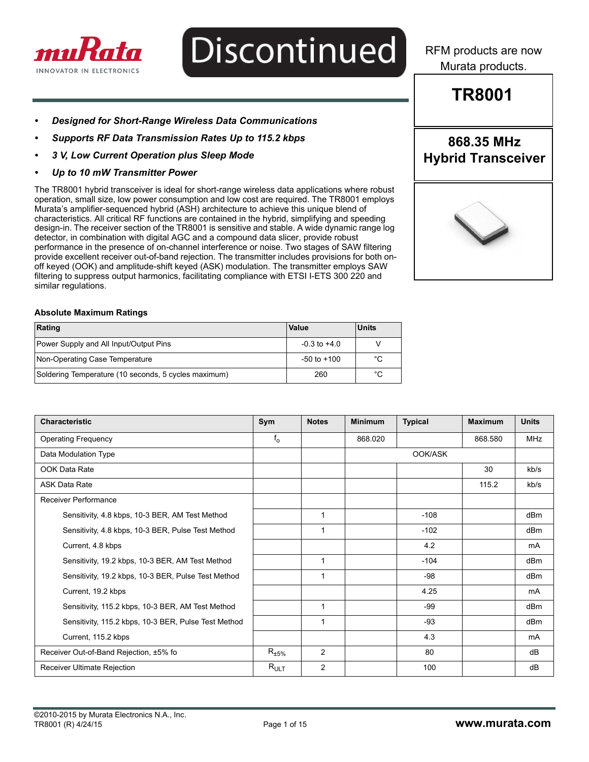

## **Discontinued**

RFM products are now Murata products.

### **TR8001**

**868.35 MHz Hybrid Transceiver**

- *Designed for Short-Range Wireless Data Communications*
- *Supports RF Data Transmission Rates Up to 115.2 kbps*
- *3 V, Low Current Operation plus Sleep Mode*
- *Up to 10 mW Transmitter Power*

The TR8001 hybrid transceiver is ideal for short-range wireless data applications where robust operation, small size, low power consumption and low cost are required. The TR8001 employs Murata's amplifier-sequenced hybrid (ASH) architecture to achieve this unique blend of characteristics. All critical RF functions are contained in the hybrid, simplifying and speeding design-in. The receiver section of the TR8001 is sensitive and stable. A wide dynamic range log detector, in combination with digital AGC and a compound data slicer, provide robust performance in the presence of on-channel interference or noise. Two stages of SAW filtering provide excellent receiver out-of-band rejection. The transmitter includes provisions for both onoff keyed (OOK) and amplitude-shift keyed (ASK) modulation. The transmitter employs SAW filtering to suppress output harmonics, facilitating compliance with ETSI I-ETS 300 220 and similar regulations.

#### **Absolute Maximum Ratings**

| Rating                                               | Value            | <b>Units</b> |
|------------------------------------------------------|------------------|--------------|
| Power Supply and All Input/Output Pins               | $-0.3$ to $+4.0$ |              |
| Non-Operating Case Temperature                       | $-50$ to $+100$  | °C           |
| Soldering Temperature (10 seconds, 5 cycles maximum) | 260              | °C           |

| <b>Characteristic</b>                                | Sym                    | <b>Notes</b>   | <b>Minimum</b> | <b>Typical</b> | <b>Maximum</b> | <b>Units</b>    |
|------------------------------------------------------|------------------------|----------------|----------------|----------------|----------------|-----------------|
| <b>Operating Frequency</b>                           | $f_{o}$                |                | 868.020        |                | 868.580        | <b>MHz</b>      |
| Data Modulation Type                                 |                        |                |                | OOK/ASK        |                |                 |
| OOK Data Rate                                        |                        |                |                |                | 30             | kb/s            |
| <b>ASK Data Rate</b>                                 |                        |                |                |                | 115.2          | kb/s            |
| <b>Receiver Performance</b>                          |                        |                |                |                |                |                 |
| Sensitivity, 4.8 kbps, 10-3 BER, AM Test Method      |                        | 1              |                | $-108$         |                | dBm             |
| Sensitivity, 4.8 kbps, 10-3 BER, Pulse Test Method   |                        | 1              |                | $-102$         |                | dBm             |
| Current, 4.8 kbps                                    |                        |                |                | 4.2            |                | mA              |
| Sensitivity, 19.2 kbps, 10-3 BER, AM Test Method     |                        | 1              |                | $-104$         |                | dBm             |
| Sensitivity, 19.2 kbps, 10-3 BER, Pulse Test Method  |                        | 1              |                | -98            |                | dB <sub>m</sub> |
| Current, 19.2 kbps                                   |                        |                |                | 4.25           |                | mA              |
| Sensitivity, 115.2 kbps, 10-3 BER, AM Test Method    |                        | 1              |                | $-99$          |                | dBm             |
| Sensitivity, 115.2 kbps, 10-3 BER, Pulse Test Method |                        | 1              |                | $-93$          |                | dBm             |
| Current, 115.2 kbps                                  |                        |                |                | 4.3            |                | mA              |
| Receiver Out-of-Band Rejection, ±5% fo               | $\mathsf{R}_{\pm 5\%}$ | $\overline{2}$ |                | 80             |                | dB              |
| Receiver Ultimate Rejection                          | $R_{ULT}$              | $\overline{2}$ |                | 100            |                | dB              |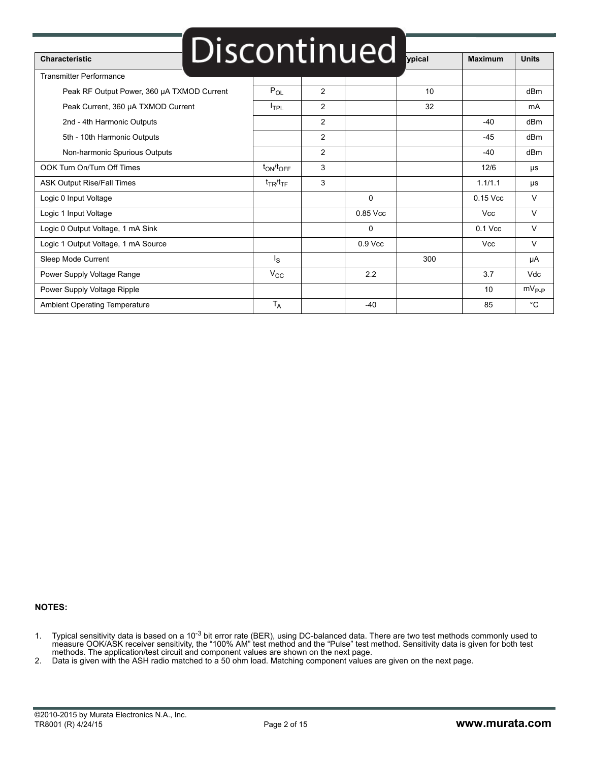|                                            |                         |                | Discontinued |        |                |                   |
|--------------------------------------------|-------------------------|----------------|--------------|--------|----------------|-------------------|
| <b>Characteristic</b>                      |                         |                |              | ypical | <b>Maximum</b> | <b>Units</b>      |
| <b>Transmitter Performance</b>             |                         |                |              |        |                |                   |
| Peak RF Output Power, 360 µA TXMOD Current | $P_{OL}$                | 2              |              | 10     |                | dBm               |
| Peak Current, 360 µA TXMOD Current         | $I_{\text{TPL}}$        | $\overline{2}$ |              | 32     |                | mA                |
| 2nd - 4th Harmonic Outputs                 |                         | $\overline{2}$ |              |        | $-40$          | dBm               |
| 5th - 10th Harmonic Outputs                |                         | 2              |              |        | $-45$          | dBm               |
| Non-harmonic Spurious Outputs              |                         | 2              |              |        | $-40$          | dBm               |
| OOK Turn On/Turn Off Times                 | $t_{ON}/t_{OFF}$        | 3              |              |        | 12/6           | μs                |
| <b>ASK Output Rise/Fall Times</b>          | $t_{TR}/t_{TF}$         | 3              |              |        | 1.1/1.1        | μs                |
| Logic 0 Input Voltage                      |                         |                | $\Omega$     |        | 0.15 Vcc       | $\vee$            |
| Logic 1 Input Voltage                      |                         |                | 0.85 Vcc     |        | <b>Vcc</b>     | $\vee$            |
| Logic 0 Output Voltage, 1 mA Sink          |                         |                | 0            |        | $0.1$ Vcc      | $\vee$            |
| Logic 1 Output Voltage, 1 mA Source        |                         |                | $0.9$ Vcc    |        | <b>Vcc</b>     | $\vee$            |
| Sleep Mode Current                         | $\mathsf{I}_\mathbf{S}$ |                |              | 300    |                | μA                |
| Power Supply Voltage Range                 | $V_{\rm CC}$            |                | 2.2          |        | 3.7            | Vdc               |
| Power Supply Voltage Ripple                |                         |                |              |        | 10             | $mV_{\text{P-P}}$ |
| Ambient Operating Temperature              | $T_A$                   |                | $-40$        |        | 85             | $^{\circ}$ C      |

#### **NOTES:**

- 1. Typical sensitivity data is based on a 10<sup>-3</sup> bit error rate (BER), using DC-balanced data. There are two test methods commonly used to measure OOK/ASK receiver sensitivity, the "100% AM" test method and the "Pulse" test method. Sensitivity data is given for both test methods. The application/test circuit and component values are shown on the next page.
- 2. Data is given with the ASH radio matched to a 50 ohm load. Matching component values are given on the next page.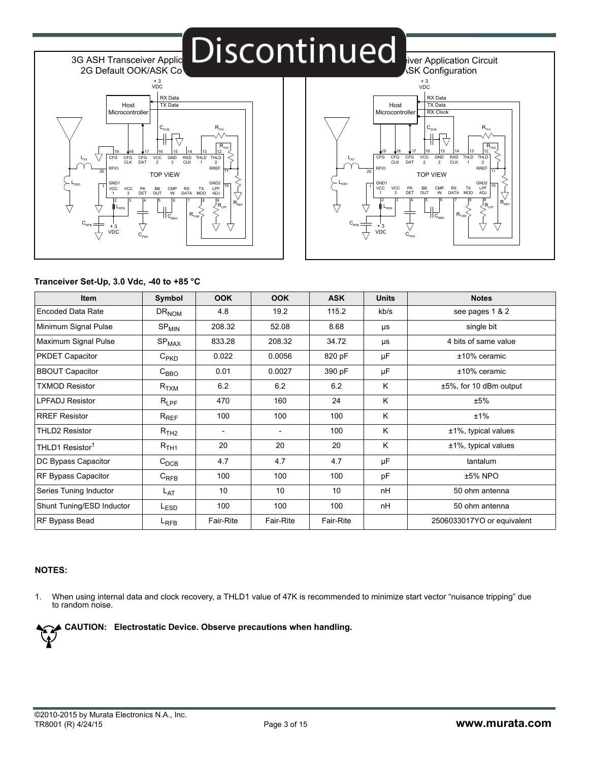## Discontinued **Exer Application Circuit**



3G ASH Transceiver Applic



#### **Tranceiver Set-Up, 3.0 Vdc, -40 to +85 °C**

| <b>Item</b>                 | Symbol                       | <b>OOK</b>               | <b>OOK</b>               | <b>ASK</b>      | <b>Units</b> | <b>Notes</b>               |
|-----------------------------|------------------------------|--------------------------|--------------------------|-----------------|--------------|----------------------------|
| <b>Encoded Data Rate</b>    | DR <sub>NOM</sub>            | 4.8                      | 19.2                     | 115.2           | kb/s         | see pages 1 & 2            |
| Minimum Signal Pulse        | $\mathsf{SP}_{\mathsf{MIN}}$ | 208.32                   | 52.08                    | 8.68            | μs           | single bit                 |
| Maximum Signal Pulse        | SP <sub>MAX</sub>            | 833.28                   | 208.32                   | 34.72           | μs           | 4 bits of same value       |
| <b>PKDET Capacitor</b>      | $C_{PKD}$                    | 0.022                    | 0.0056                   | 820 pF          | μF           | $±10\%$ ceramic            |
| <b>BBOUT Capacitor</b>      | $\rm{C}_{BBO}$               | 0.01                     | 0.0027                   | 390 pF          | μF           | $±10\%$ ceramic            |
| <b>TXMOD Resistor</b>       | $R_{\rm TXM}$                | 6.2                      | 6.2                      | 6.2             | K            | ±5%, for 10 dBm output     |
| LPFADJ Resistor             | $R_{\mathsf{LPF}}$           | 470                      | 160                      | 24              | K            | ±5%                        |
| <b>RREF Resistor</b>        | $\mathsf{R}_{\mathsf{REF}}$  | 100                      | 100                      | 100             | K            | ±1%                        |
| <b>THLD2 Resistor</b>       | R <sub>TH2</sub>             | $\overline{\phantom{0}}$ | $\overline{\phantom{a}}$ | 100             | K            | $±1\%$ , typical values    |
| THLD1 Resistor <sup>1</sup> | $R_{\rm TH1}$                | 20                       | 20                       | 20              | K            | $±1\%$ , typical values    |
| DC Bypass Capacitor         | $C_{DCB}$                    | 4.7                      | 4.7                      | 4.7             | μF           | tantalum                   |
| RF Bypass Capacitor         | $C_{RFB}$                    | 100                      | 100                      | 100             | pF           | ±5% NPO                    |
| Series Tuning Inductor      | L <sub>AT</sub>              | 10                       | 10                       | 10 <sup>1</sup> | nH           | 50 ohm antenna             |
| Shunt Tuning/ESD Inductor   | L <sub>ESD</sub>             | 100                      | 100                      | 100             | nH           | 50 ohm antenna             |
| RF Bypass Bead              | L <sub>RFB</sub>             | Fair-Rite                | Fair-Rite                | Fair-Rite       |              | 2506033017YO or equivalent |

#### **NOTES:**

1. When using internal data and clock recovery, a THLD1 value of 47K is recommended to minimize start vector "nuisance tripping" due to random noise.

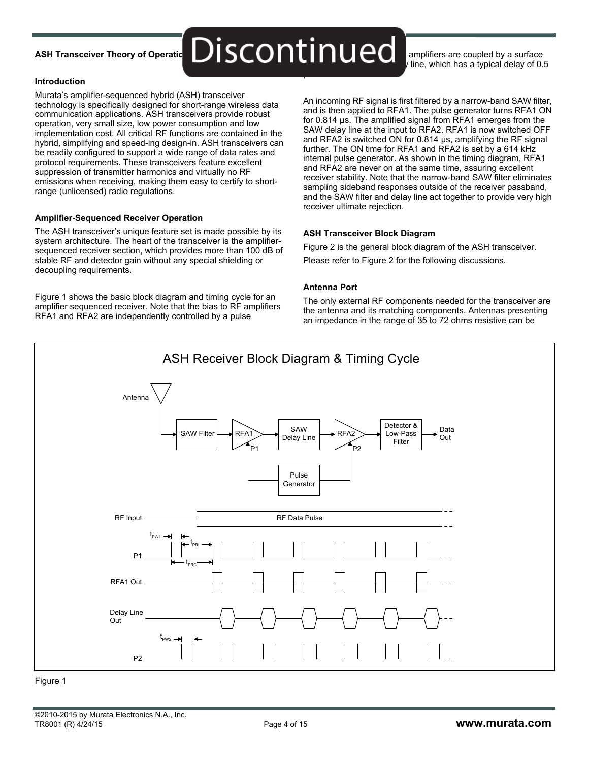### **ASH Transceiver Theory of Operational**

### $\text{Discontinuum}$  and times are coupled by a surface µs.

Ine, which has a typical delay of 0.5

#### **Introduction**

Murata's amplifier-sequenced hybrid (ASH) transceiver technology is specifically designed for short-range wireless data communication applications. ASH transceivers provide robust operation, very small size, low power consumption and low implementation cost. All critical RF functions are contained in the hybrid, simplifying and speed-ing design-in. ASH transceivers can be readily configured to support a wide range of data rates and protocol requirements. These transceivers feature excellent suppression of transmitter harmonics and virtually no RF emissions when receiving, making them easy to certify to shortrange (unlicensed) radio regulations.

#### **Amplifier-Sequenced Receiver Operation**

The ASH transceiver's unique feature set is made possible by its system architecture. The heart of the transceiver is the amplifiersequenced receiver section, which provides more than 100 dB of stable RF and detector gain without any special shielding or decoupling requirements.

Figure 1 shows the basic block diagram and timing cycle for an amplifier sequenced receiver. Note that the bias to RF amplifiers RFA1 and RFA2 are independently controlled by a pulse

An incoming RF signal is first filtered by a narrow-band SAW filter, and is then applied to RFA1. The pulse generator turns RFA1 ON for 0.814 µs. The amplified signal from RFA1 emerges from the SAW delay line at the input to RFA2. RFA1 is now switched OFF and RFA2 is switched ON for 0.814 µs, amplifying the RF signal further. The ON time for RFA1 and RFA2 is set by a 614 kHz internal pulse generator. As shown in the timing diagram, RFA1 and RFA2 are never on at the same time, assuring excellent receiver stability. Note that the narrow-band SAW filter eliminates sampling sideband responses outside of the receiver passband, and the SAW filter and delay line act together to provide very high receiver ultimate rejection.

#### **ASH Transceiver Block Diagram**

Figure 2 is the general block diagram of the ASH transceiver. Please refer to Figure 2 for the following discussions.

#### **Antenna Port**

The only external RF components needed for the transceiver are the antenna and its matching components. Antennas presenting an impedance in the range of 35 to 72 ohms resistive can be



Figure 1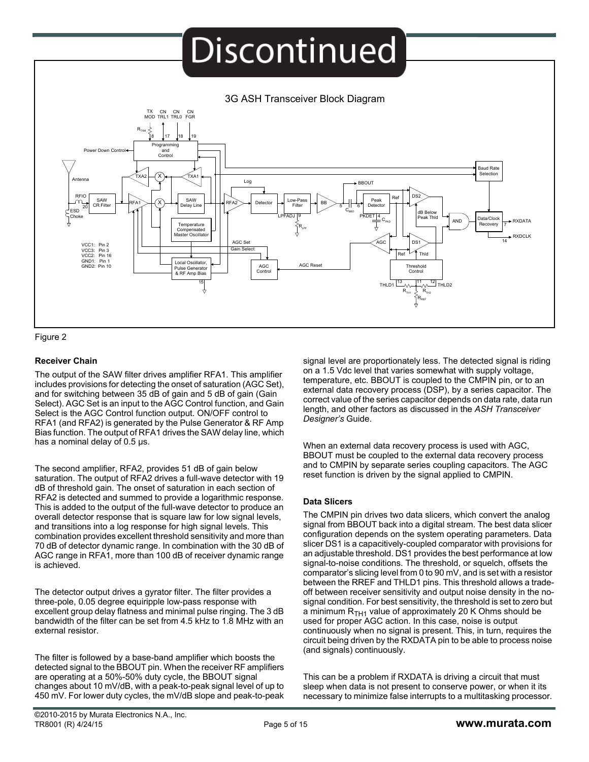### **Discontinued**





#### **Receiver Chain**

The output of the SAW filter drives amplifier RFA1. This amplifier includes provisions for detecting the onset of saturation (AGC Set), and for switching between 35 dB of gain and 5 dB of gain (Gain Select). AGC Set is an input to the AGC Control function, and Gain Select is the AGC Control function output. ON/OFF control to RFA1 (and RFA2) is generated by the Pulse Generator & RF Amp Bias function. The output of RFA1 drives the SAW delay line, which has a nominal delay of 0.5  $\mu$ s.

The second amplifier, RFA2, provides 51 dB of gain below saturation. The output of RFA2 drives a full-wave detector with 19 dB of threshold gain. The onset of saturation in each section of RFA2 is detected and summed to provide a logarithmic response. This is added to the output of the full-wave detector to produce an overall detector response that is square law for low signal levels, and transitions into a log response for high signal levels. This combination provides excellent threshold sensitivity and more than 70 dB of detector dynamic range. In combination with the 30 dB of AGC range in RFA1, more than 100 dB of receiver dynamic range is achieved.

The detector output drives a gyrator filter. The filter provides a three-pole, 0.05 degree equiripple low-pass response with excellent group delay flatness and minimal pulse ringing. The 3 dB bandwidth of the filter can be set from 4.5 kHz to 1.8 MHz with an external resistor.

The filter is followed by a base-band amplifier which boosts the detected signal to the BBOUT pin. When the receiver RF amplifiers are operating at a 50%-50% duty cycle, the BBOUT signal changes about 10 mV/dB, with a peak-to-peak signal level of up to 450 mV. For lower duty cycles, the mV/dB slope and peak-to-peak signal level are proportionately less. The detected signal is riding on a 1.5 Vdc level that varies somewhat with supply voltage, temperature, etc. BBOUT is coupled to the CMPIN pin, or to an external data recovery process (DSP), by a series capacitor. The correct value of the series capacitor depends on data rate, data run length, and other factors as discussed in the *ASH Transceiver Designer's* Guide.

When an external data recovery process is used with AGC, BBOUT must be coupled to the external data recovery process and to CMPIN by separate series coupling capacitors. The AGC reset function is driven by the signal applied to CMPIN.

#### **Data Slicers**

The CMPIN pin drives two data slicers, which convert the analog signal from BBOUT back into a digital stream. The best data slicer configuration depends on the system operating parameters. Data slicer DS1 is a capacitively-coupled comparator with provisions for an adjustable threshold. DS1 provides the best performance at low signal-to-noise conditions. The threshold, or squelch, offsets the comparator's slicing level from 0 to 90 mV, and is set with a resistor between the RREF and THLD1 pins. This threshold allows a tradeoff between receiver sensitivity and output noise density in the nosignal condition. For best sensitivity, the threshold is set to zero but a minimum  $R<sub>TH1</sub>$  value of approximately 20 K Ohms should be used for proper AGC action. In this case, noise is output continuously when no signal is present. This, in turn, requires the circuit being driven by the RXDATA pin to be able to process noise (and signals) continuously.

This can be a problem if RXDATA is driving a circuit that must sleep when data is not present to conserve power, or when it its necessary to minimize false interrupts to a multitasking processor.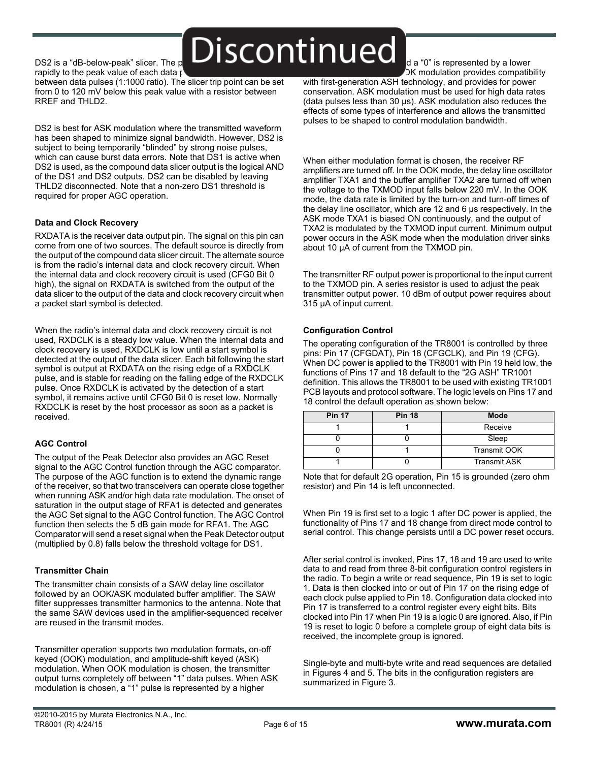$DSS2$  is a "dB-below-peak" slicer. The peak of  $\sum$   $\sum$ rapidly to the peak value of each data  $\mathfrak{g}$ 

between data pulses (1:1000 ratio). The slicer trip point can be set from 0 to 120 mV below this peak value with a resistor between RREF and THLD2.

DS2 is best for ASK modulation where the transmitted waveform has been shaped to minimize signal bandwidth. However, DS2 is subject to being temporarily "blinded" by strong noise pulses, which can cause burst data errors. Note that DS1 is active when DS2 is used, as the compound data slicer output is the logical AND of the DS1 and DS2 outputs. DS2 can be disabled by leaving THLD2 disconnected. Note that a non-zero DS1 threshold is required for proper AGC operation.

#### **Data and Clock Recovery**

RXDATA is the receiver data output pin. The signal on this pin can come from one of two sources. The default source is directly from the output of the compound data slicer circuit. The alternate source is from the radio's internal data and clock recovery circuit. When the internal data and clock recovery circuit is used (CFG0 Bit 0 high), the signal on RXDATA is switched from the output of the data slicer to the output of the data and clock recovery circuit when a packet start symbol is detected.

When the radio's internal data and clock recovery circuit is not used, RXDCLK is a steady low value. When the internal data and clock recovery is used, RXDCLK is low until a start symbol is detected at the output of the data slicer. Each bit following the start symbol is output at RXDATA on the rising edge of a RXDCLK pulse, and is stable for reading on the falling edge of the RXDCLK pulse. Once RXDCLK is activated by the detection of a start symbol, it remains active until CFG0 Bit 0 is reset low. Normally RXDCLK is reset by the host processor as soon as a packet is received.

#### **AGC Control**

The output of the Peak Detector also provides an AGC Reset signal to the AGC Control function through the AGC comparator. The purpose of the AGC function is to extend the dynamic range of the receiver, so that two transceivers can operate close together when running ASK and/or high data rate modulation. The onset of saturation in the output stage of RFA1 is detected and generates the AGC Set signal to the AGC Control function. The AGC Control function then selects the 5 dB gain mode for RFA1. The AGC Comparator will send a reset signal when the Peak Detector output (multiplied by 0.8) falls below the threshold voltage for DS1.

#### **Transmitter Chain**

The transmitter chain consists of a SAW delay line oscillator followed by an OOK/ASK modulated buffer amplifier. The SAW filter suppresses transmitter harmonics to the antenna. Note that the same SAW devices used in the amplifier-sequenced receiver are reused in the transmit modes.

Transmitter operation supports two modulation formats, on-off keyed (OOK) modulation, and amplitude-shift keyed (ASK) modulation. When OOK modulation is chosen, the transmitter output turns completely off between "1" data pulses. When ASK modulation is chosen, a "1" pulse is represented by a higher

d a "0" is represented by a lower  $\sqrt{2}$ K modulation provides compatibility

with first-generation ASH technology, and provides for power conservation. ASK modulation must be used for high data rates (data pulses less than 30 µs). ASK modulation also reduces the effects of some types of interference and allows the transmitted pulses to be shaped to control modulation bandwidth.

When either modulation format is chosen, the receiver RF amplifiers are turned off. In the OOK mode, the delay line oscillator amplifier TXA1 and the buffer amplifier TXA2 are turned off when the voltage to the TXMOD input falls below 220 mV. In the OOK mode, the data rate is limited by the turn-on and turn-off times of the delay line oscillator, which are 12 and 6 µs respectively. In the ASK mode TXA1 is biased ON continuously, and the output of TXA2 is modulated by the TXMOD input current. Minimum output power occurs in the ASK mode when the modulation driver sinks about 10 µA of current from the TXMOD pin.

The transmitter RF output power is proportional to the input current to the TXMOD pin. A series resistor is used to adjust the peak transmitter output power. 10 dBm of output power requires about 315 µA of input current.

#### **Configuration Control**

The operating configuration of the TR8001 is controlled by three pins: Pin 17 (CFGDAT), Pin 18 (CFGCLK), and Pin 19 (CFG). When DC power is applied to the TR8001 with Pin 19 held low, the functions of Pins 17 and 18 default to the "2G ASH" TR1001 definition. This allows the TR8001 to be used with existing TR1001 PCB layouts and protocol software. The logic levels on Pins 17 and 18 control the default operation as shown below:

| <b>Pin 17</b> | <b>Pin 18</b> | <b>Mode</b>         |
|---------------|---------------|---------------------|
|               |               | Receive             |
|               |               | Sleep               |
|               |               | <b>Transmit OOK</b> |
|               |               | <b>Transmit ASK</b> |

Note that for default 2G operation, Pin 15 is grounded (zero ohm resistor) and Pin 14 is left unconnected.

When Pin 19 is first set to a logic 1 after DC power is applied, the functionality of Pins 17 and 18 change from direct mode control to serial control. This change persists until a DC power reset occurs.

After serial control is invoked, Pins 17, 18 and 19 are used to write data to and read from three 8-bit configuration control registers in the radio. To begin a write or read sequence, Pin 19 is set to logic 1. Data is then clocked into or out of Pin 17 on the rising edge of each clock pulse applied to Pin 18. Configuration data clocked into Pin 17 is transferred to a control register every eight bits. Bits clocked into Pin 17 when Pin 19 is a logic 0 are ignored. Also, if Pin 19 is reset to logic 0 before a complete group of eight data bits is received, the incomplete group is ignored.

Single-byte and multi-byte write and read sequences are detailed in Figures 4 and 5. The bits in the configuration registers are summarized in Figure 3.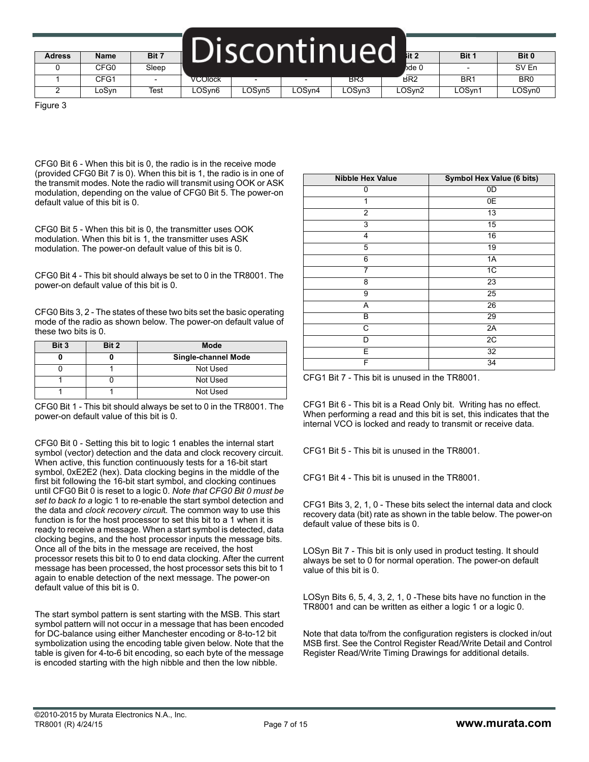| <b>Adress</b> | <b>Name</b> | Bit 7                    |         |        |        | iscontinued | lit 2           | Bit '                    | Bit 0           |
|---------------|-------------|--------------------------|---------|--------|--------|-------------|-----------------|--------------------------|-----------------|
|               | CFG0        | Sleep                    |         |        |        |             | bde 0           | $\overline{\phantom{a}}$ | SV En           |
|               | CFG1        | $\overline{\phantom{0}}$ | VCOIOCK |        |        | BR3         | BR <sub>2</sub> | BR <sub>1</sub>          | BR <sub>0</sub> |
|               | ∟oSvn       | Test                     | LOSyn6  | LOSyn5 | ∟OSvn4 | LOSyn3      | LOSyn2          | LOSyn1                   | LOSyn0          |

Figure 3

CFG0 Bit 6 - When this bit is 0, the radio is in the receive mode (provided CFG0 Bit 7 is 0). When this bit is 1, the radio is in one of the transmit modes. Note the radio will transmit using OOK or ASK modulation, depending on the value of CFG0 Bit 5. The power-on default value of this bit is 0.

CFG0 Bit 5 - When this bit is 0, the transmitter uses OOK modulation. When this bit is 1, the transmitter uses ASK modulation. The power-on default value of this bit is 0.

CFG0 Bit 4 - This bit should always be set to 0 in the TR8001. The power-on default value of this bit is 0.

CFG0 Bits 3, 2 - The states of these two bits set the basic operating mode of the radio as shown below. The power-on default value of these two bits is 0.

| Bit 3 | Bit 2 | Mode                       |
|-------|-------|----------------------------|
|       |       | <b>Single-channel Mode</b> |
|       |       | Not Used                   |
|       |       | Not Used                   |
|       |       | Not Used                   |

CFG0 Bit 1 - This bit should always be set to 0 in the TR8001. The power-on default value of this bit is 0.

CFG0 Bit 0 - Setting this bit to logic 1 enables the internal start symbol (vector) detection and the data and clock recovery circuit. When active, this function continuously tests for a 16-bit start symbol, 0xE2E2 (hex). Data clocking begins in the middle of the first bit following the 16-bit start symbol, and clocking continues until CFG0 Bit 0 is reset to a logic 0. *Note that CFG0 Bit 0 must be set to back to a* logic 1 to re-enable the start symbol detection and the data and *clock recovery circui*t. The common way to use this function is for the host processor to set this bit to a 1 when it is ready to receive a message. When a start symbol is detected, data clocking begins, and the host processor inputs the message bits. Once all of the bits in the message are received, the host processor resets this bit to 0 to end data clocking. After the current message has been processed, the host processor sets this bit to 1 again to enable detection of the next message. The power-on default value of this bit is 0.

The start symbol pattern is sent starting with the MSB. This start symbol pattern will not occur in a message that has been encoded for DC-balance using either Manchester encoding or 8-to-12 bit symbolization using the encoding table given below. Note that the table is given for 4-to-6 bit encoding, so each byte of the message is encoded starting with the high nibble and then the low nibble.

| <b>Nibble Hex Value</b> | Symbol Hex Value (6 bits) |
|-------------------------|---------------------------|
| 0                       | 0D                        |
| 1                       | 0E                        |
| $\overline{2}$          | 13                        |
| 3                       | 15                        |
| 4                       | 16                        |
| 5                       | 19                        |
| 6                       | 1A                        |
| 7                       | 1C                        |
| 8                       | 23                        |
| 9                       | 25                        |
| A                       | 26                        |
| B                       | 29                        |
| C                       | 2A                        |
| D                       | 2C                        |
| E                       | $\overline{32}$           |
| F                       | 34                        |

CFG1 Bit 7 - This bit is unused in the TR8001.

CFG1 Bit 6 - This bit is a Read Only bit. Writing has no effect. When performing a read and this bit is set, this indicates that the internal VCO is locked and ready to transmit or receive data.

CFG1 Bit 5 - This bit is unused in the TR8001.

CFG1 Bit 4 - This bit is unused in the TR8001.

CFG1 Bits 3, 2, 1, 0 - These bits select the internal data and clock recovery data (bit) rate as shown in the table below. The power-on default value of these bits is 0.

LOSyn Bit 7 - This bit is only used in product testing. It should always be set to 0 for normal operation. The power-on default value of this bit is 0.

LOSyn Bits 6, 5, 4, 3, 2, 1, 0 -These bits have no function in the TR8001 and can be written as either a logic 1 or a logic 0.

Note that data to/from the configuration registers is clocked in/out MSB first. See the Control Register Read/Write Detail and Control Register Read/Write Timing Drawings for additional details.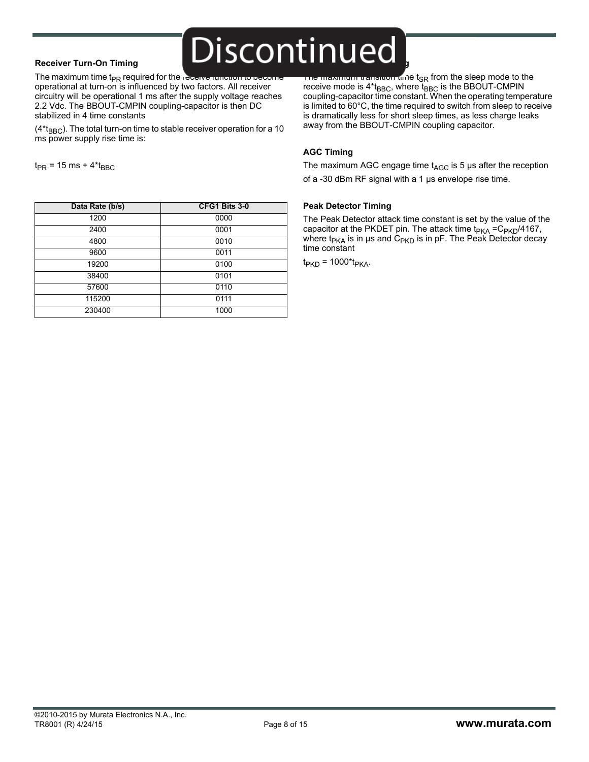#### **Receiver Turn-On Timing**

 $t_{PR}$  = 15 ms + 4\* $t_{BBC}$ 

The maximum time  $t_{PR}$  required for the receive function to be operational at turn-on is influenced by two factors. All receiver circuitry will be operational 1 ms after the supply voltage reaches 2.2 Vdc. The BBOUT-CMPIN coupling-capacitor is then DC stabilized in 4 time constants

 $(4<sup>*</sup>t<sub>BBC</sub>)$ . The total turn-on time to stable receiver operation for a 10 ms power supply rise time is:

The maximum transition time t<sub>SR</sub> from the sleep mode to the receive mode is  $4*_{BBC}$ , where  $t_{BBC}$  is the BBOUT-CMPIN coupling-capacitor time constant. When the operating temperature is limited to 60°C, the time required to switch from sleep to receive is dramatically less for short sleep times, as less charge leaks away from the BBOUT-CMPIN coupling capacitor.

#### **AGC Timing**

**Discontinued** 

The maximum AGC engage time  $t_{AGC}$  is 5  $\mu$ s after the reception of a -30 dBm RF signal with a 1 µs envelope rise time.

### **Data Rate (b/s) CFG1 Bits 3-0** 1200 0000 2400 0001 4800 0010 9600 0011 19200 0100 38400 0101 57600 0110 115200 0111 230400 1000

#### **Peak Detector Timing**

The Peak Detector attack time constant is set by the value of the capacitor at the PKDET pin. The attack time  $t_{PKA} = C_{PKD}/4167$ , where  $t_{PKA}$  is in µs and  $C_{PKD}$  is in pF. The Peak Detector decay time constant

 $t_{PKD}$  = 1000\* $t_{PKA}$ .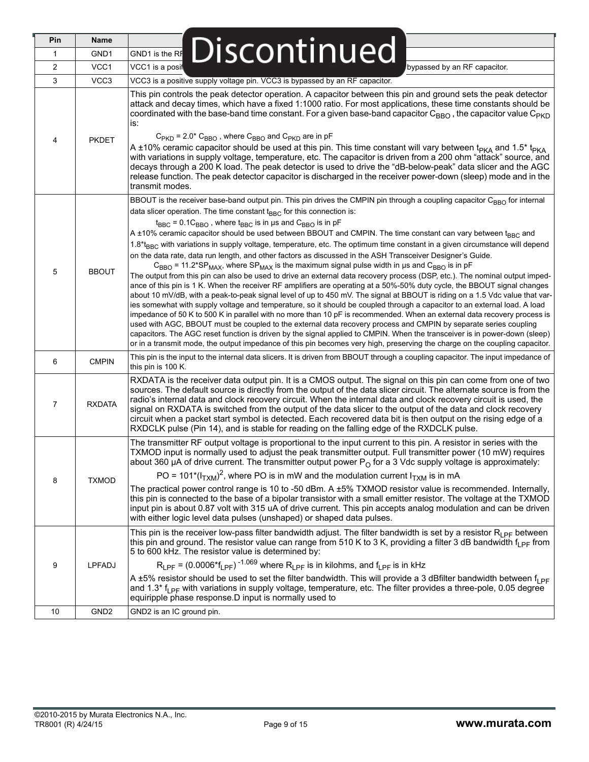| Pin            | Name             |                                                                                                                                                                                                                                                                                                                                                                                                                                                                                                                                                                                                                                                                                                                                                                                                                                                                                                                                                                                                                                                                                                                                                                                                                                                                                                                                                                                                                                                                                                                                                                                                                                                                                                                                                                                                                                                                                 |
|----------------|------------------|---------------------------------------------------------------------------------------------------------------------------------------------------------------------------------------------------------------------------------------------------------------------------------------------------------------------------------------------------------------------------------------------------------------------------------------------------------------------------------------------------------------------------------------------------------------------------------------------------------------------------------------------------------------------------------------------------------------------------------------------------------------------------------------------------------------------------------------------------------------------------------------------------------------------------------------------------------------------------------------------------------------------------------------------------------------------------------------------------------------------------------------------------------------------------------------------------------------------------------------------------------------------------------------------------------------------------------------------------------------------------------------------------------------------------------------------------------------------------------------------------------------------------------------------------------------------------------------------------------------------------------------------------------------------------------------------------------------------------------------------------------------------------------------------------------------------------------------------------------------------------------|
| 1              | GND1             | Discontinued<br>GND1 is the RF                                                                                                                                                                                                                                                                                                                                                                                                                                                                                                                                                                                                                                                                                                                                                                                                                                                                                                                                                                                                                                                                                                                                                                                                                                                                                                                                                                                                                                                                                                                                                                                                                                                                                                                                                                                                                                                  |
| $\overline{2}$ | VCC1             | VCC1 is a posit<br>bypassed by an RF capacitor.                                                                                                                                                                                                                                                                                                                                                                                                                                                                                                                                                                                                                                                                                                                                                                                                                                                                                                                                                                                                                                                                                                                                                                                                                                                                                                                                                                                                                                                                                                                                                                                                                                                                                                                                                                                                                                 |
| 3              | VCC3             | VCC3 is a positive supply voltage pin. VCC3 is bypassed by an RF capacitor.                                                                                                                                                                                                                                                                                                                                                                                                                                                                                                                                                                                                                                                                                                                                                                                                                                                                                                                                                                                                                                                                                                                                                                                                                                                                                                                                                                                                                                                                                                                                                                                                                                                                                                                                                                                                     |
| 4              | <b>PKDET</b>     | This pin controls the peak detector operation. A capacitor between this pin and ground sets the peak detector<br>attack and decay times, which have a fixed 1:1000 ratio. For most applications, these time constants should be<br>coordinated with the base-band time constant. For a given base-band capacitor $C_{\rm BBO}$ , the capacitor value $C_{\rm PKD}$<br>is:<br>$C_{\text{PKD}}$ = 2.0* $C_{\text{BBO}}$ , where $C_{\text{BBO}}$ and $C_{\text{PKD}}$ are in pF<br>A ±10% ceramic capacitor should be used at this pin. This time constant will vary between t <sub>PKA</sub> and 1.5 <sup>*</sup> t <sub>PKA</sub><br>with variations in supply voltage, temperature, etc. The capacitor is driven from a 200 ohm "attack" source, and<br>decays through a 200 K load. The peak detector is used to drive the "dB-below-peak" data slicer and the AGC<br>release function. The peak detector capacitor is discharged in the receiver power-down (sleep) mode and in the<br>transmit modes.                                                                                                                                                                                                                                                                                                                                                                                                                                                                                                                                                                                                                                                                                                                                                                                                                                                                       |
| 5              | <b>BBOUT</b>     | BBOUT is the receiver base-band output pin. This pin drives the CMPIN pin through a coupling capacitor C <sub>BBO</sub> for internal<br>data slicer operation. The time constant $t_{BBC}$ for this connection is:<br>$t_{BBC}$ = 0.1C <sub>BBO</sub> , where $t_{BBC}$ is in us and C <sub>BBO</sub> is in pF<br>A ±10% ceramic capacitor should be used between BBOUT and CMPIN. The time constant can vary between t <sub>BBC</sub> and<br>1.8*t <sub>RRC</sub> with variations in supply voltage, temperature, etc. The optimum time constant in a given circumstance will depend<br>on the data rate, data run length, and other factors as discussed in the ASH Transceiver Designer's Guide.<br>$C_{\rm BBO}$ = 11.2*SP <sub>MAX</sub> , where SP <sub>MAX</sub> is the maximum signal pulse width in µs and $C_{\rm BBO}$ is in pF<br>The output from this pin can also be used to drive an external data recovery process (DSP, etc.). The nominal output imped-<br>ance of this pin is 1 K. When the receiver RF amplifiers are operating at a 50%-50% duty cycle, the BBOUT signal changes<br>about 10 mV/dB, with a peak-to-peak signal level of up to 450 mV. The signal at BBOUT is riding on a 1.5 Vdc value that var-<br>ies somewhat with supply voltage and temperature, so it should be coupled through a capacitor to an external load. A load<br>impedance of 50 K to 500 K in parallel with no more than 10 pF is recommended. When an external data recovery process is<br>used with AGC, BBOUT must be coupled to the external data recovery process and CMPIN by separate series coupling<br>capacitors. The AGC reset function is driven by the signal applied to CMPIN. When the transceiver is in power-down (sleep)<br>or in a transmit mode, the output impedance of this pin becomes very high, preserving the charge on the coupling capacitor. |
| 6              | <b>CMPIN</b>     | This pin is the input to the internal data slicers. It is driven from BBOUT through a coupling capacitor. The input impedance of<br>this pin is 100 K.                                                                                                                                                                                                                                                                                                                                                                                                                                                                                                                                                                                                                                                                                                                                                                                                                                                                                                                                                                                                                                                                                                                                                                                                                                                                                                                                                                                                                                                                                                                                                                                                                                                                                                                          |
| $\overline{7}$ | <b>RXDATA</b>    | RXDATA is the receiver data output pin. It is a CMOS output. The signal on this pin can come from one of two<br>sources. The default source is directly from the output of the data slicer circuit. The alternate source is from the<br>radio's internal data and clock recovery circuit. When the internal data and clock recovery circuit is used, the<br>signal on RXDATA is switched from the output of the data slicer to the output of the data and clock recovery<br>circuit when a packet start symbol is detected. Each recovered data bit is then output on the rising edge of a<br>RXDCLK pulse (Pin 14), and is stable for reading on the falling edge of the RXDCLK pulse.                                                                                                                                                                                                                                                                                                                                                                                                                                                                                                                                                                                                                                                                                                                                                                                                                                                                                                                                                                                                                                                                                                                                                                                         |
| 8              | <b>TXMOD</b>     | The transmitter RF output voltage is proportional to the input current to this pin. A resistor in series with the<br>TXMOD input is normally used to adjust the peak transmitter output. Full transmitter power (10 mW) requires<br>about 360 µA of drive current. The transmitter output power $P_{\Omega}$ for a 3 Vdc supply voltage is approximately:<br>PO = 101*( $I_{TXM}$ ) <sup>2</sup> , where PO is in mW and the modulation current $I_{TXM}$ is in mA<br>The practical power control range is 10 to -50 dBm. A ±5% TXMOD resistor value is recommended. Internally,<br>this pin is connected to the base of a bipolar transistor with a small emitter resistor. The voltage at the TXMOD<br>input pin is about 0.87 volt with 315 uA of drive current. This pin accepts analog modulation and can be driven<br>with either logic level data pulses (unshaped) or shaped data pulses.                                                                                                                                                                                                                                                                                                                                                                                                                                                                                                                                                                                                                                                                                                                                                                                                                                                                                                                                                                               |
| 9              | <b>LPFADJ</b>    | This pin is the receiver low-pass filter bandwidth adjust. The filter bandwidth is set by a resistor $R_{1}$ p <sub>F</sub> between<br>this pin and ground. The resistor value can range from 510 K to 3 K, providing a filter 3 dB bandwidth $f_{\text{I pF}}$ from<br>5 to 600 kHz. The resistor value is determined by:<br>$R_{LPF}$ = (0.0006 <sup>*</sup> f <sub>LPF</sub> ) <sup>-1.069</sup> where $R_{LPF}$ is in kilohms, and f <sub>LPF</sub> is in kHz<br>A ±5% resistor should be used to set the filter bandwidth. This will provide a 3 dBfilter bandwidth between $f_{LPF}$<br>and 1.3* $f1$ p <sub>F</sub> with variations in supply voltage, temperature, etc. The filter provides a three-pole, 0.05 degree<br>equiripple phase response.D input is normally used to                                                                                                                                                                                                                                                                                                                                                                                                                                                                                                                                                                                                                                                                                                                                                                                                                                                                                                                                                                                                                                                                                          |
| 10             | GND <sub>2</sub> | GND2 is an IC ground pin.                                                                                                                                                                                                                                                                                                                                                                                                                                                                                                                                                                                                                                                                                                                                                                                                                                                                                                                                                                                                                                                                                                                                                                                                                                                                                                                                                                                                                                                                                                                                                                                                                                                                                                                                                                                                                                                       |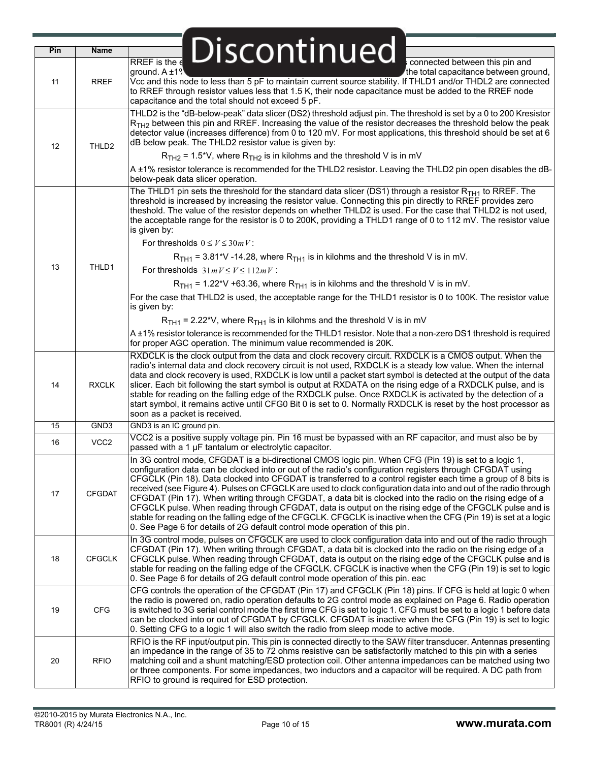| Pin | <b>Name</b>       | Discontinued                                                                                                                                                                                                                                                                                                                                                                                                                                                                                                                                                                                                                                                                                                                                                                                                                                                                        |
|-----|-------------------|-------------------------------------------------------------------------------------------------------------------------------------------------------------------------------------------------------------------------------------------------------------------------------------------------------------------------------------------------------------------------------------------------------------------------------------------------------------------------------------------------------------------------------------------------------------------------------------------------------------------------------------------------------------------------------------------------------------------------------------------------------------------------------------------------------------------------------------------------------------------------------------|
| 11  | <b>RREF</b>       | RREF is the $\epsilon$<br>connected between this pin and<br>ground. $A \pm 1$ <sup>9</sup><br>the total capacitance between ground,<br>Vcc and this node to less than 5 pF to maintain current source stability. If THLD1 and/or THDL2 are connected<br>to RREF through resistor values less that 1.5 K, their node capacitance must be added to the RREF node<br>capacitance and the total should not exceed 5 pF.                                                                                                                                                                                                                                                                                                                                                                                                                                                                 |
| 12  | THLD <sub>2</sub> | THLD2 is the "dB-below-peak" data slicer (DS2) threshold adjust pin. The threshold is set by a 0 to 200 Kresistor<br>$RTH2$ between this pin and RREF. Increasing the value of the resistor decreases the threshold below the peak<br>detector value (increases difference) from 0 to 120 mV. For most applications, this threshold should be set at 6<br>dB below peak. The THLD2 resistor value is given by:<br>$RTH2$ = 1.5*V, where $RTH2$ is in kilohms and the threshold V is in mV                                                                                                                                                                                                                                                                                                                                                                                           |
|     |                   | A ±1% resistor tolerance is recommended for the THLD2 resistor. Leaving the THLD2 pin open disables the dB-<br>below-peak data slicer operation.                                                                                                                                                                                                                                                                                                                                                                                                                                                                                                                                                                                                                                                                                                                                    |
|     |                   | The THLD1 pin sets the threshold for the standard data slicer (DS1) through a resistor $R_{TH1}$ to RREF. The<br>threshold is increased by increasing the resistor value. Connecting this pin directly to RREF provides zero<br>theshold. The value of the resistor depends on whether THLD2 is used. For the case that THLD2 is not used,<br>the acceptable range for the resistor is 0 to 200K, providing a THLD1 range of 0 to 112 mV. The resistor value<br>is given by:                                                                                                                                                                                                                                                                                                                                                                                                        |
|     |                   | For thresholds $0 \le V \le 30mV$ :                                                                                                                                                                                                                                                                                                                                                                                                                                                                                                                                                                                                                                                                                                                                                                                                                                                 |
|     |                   | $RTH1$ = 3.81*V -14.28, where $RTH1$ is in kilohms and the threshold V is in mV.                                                                                                                                                                                                                                                                                                                                                                                                                                                                                                                                                                                                                                                                                                                                                                                                    |
| 13  | THLD1             | For thresholds $31mV \le V \le 112mV$ :                                                                                                                                                                                                                                                                                                                                                                                                                                                                                                                                                                                                                                                                                                                                                                                                                                             |
|     |                   | $RTH1$ = 1.22*V +63.36, where $RTH1$ is in kilohms and the threshold V is in mV.                                                                                                                                                                                                                                                                                                                                                                                                                                                                                                                                                                                                                                                                                                                                                                                                    |
|     |                   | For the case that THLD2 is used, the acceptable range for the THLD1 resistor is 0 to 100K. The resistor value                                                                                                                                                                                                                                                                                                                                                                                                                                                                                                                                                                                                                                                                                                                                                                       |
|     |                   | is given by:                                                                                                                                                                                                                                                                                                                                                                                                                                                                                                                                                                                                                                                                                                                                                                                                                                                                        |
|     |                   | $RTH1$ = 2.22*V, where $RTH1$ is in kilohms and the threshold V is in mV                                                                                                                                                                                                                                                                                                                                                                                                                                                                                                                                                                                                                                                                                                                                                                                                            |
|     |                   | A ±1% resistor tolerance is recommended for the THLD1 resistor. Note that a non-zero DS1 threshold is required<br>for proper AGC operation. The minimum value recommended is 20K.                                                                                                                                                                                                                                                                                                                                                                                                                                                                                                                                                                                                                                                                                                   |
| 14  | <b>RXCLK</b>      | RXDCLK is the clock output from the data and clock recovery circuit. RXDCLK is a CMOS output. When the<br>radio's internal data and clock recovery circuit is not used, RXDCLK is a steady low value. When the internal<br>data and clock recovery is used, RXDCLK is low until a packet start symbol is detected at the output of the data<br>slicer. Each bit following the start symbol is output at RXDATA on the rising edge of a RXDCLK pulse, and is<br>stable for reading on the falling edge of the RXDCLK pulse. Once RXDCLK is activated by the detection of a<br>start symbol, it remains active until CFG0 Bit 0 is set to 0. Normally RXDCLK is reset by the host processor as<br>soon as a packet is received.                                                                                                                                                       |
| 15  | GND3              | GND3 is an IC ground pin.                                                                                                                                                                                                                                                                                                                                                                                                                                                                                                                                                                                                                                                                                                                                                                                                                                                           |
| 16  | VCC <sub>2</sub>  | VCC2 is a positive supply voltage pin. Pin 16 must be bypassed with an RF capacitor, and must also be by<br>passed with a 1 µF tantalum or electrolytic capacitor.                                                                                                                                                                                                                                                                                                                                                                                                                                                                                                                                                                                                                                                                                                                  |
| 17  | <b>CFGDAT</b>     | In 3G control mode, CFGDAT is a bi-directional CMOS logic pin. When CFG (Pin 19) is set to a logic 1,<br>configuration data can be clocked into or out of the radio's configuration registers through CFGDAT using<br>CFGCLK (Pin 18). Data clocked into CFGDAT is transferred to a control register each time a group of 8 bits is<br>received (see Figure 4). Pulses on CFGCLK are used to clock configuration data into and out of the radio through<br>CFGDAT (Pin 17). When writing through CFGDAT, a data bit is clocked into the radio on the rising edge of a<br>CFGCLK pulse. When reading through CFGDAT, data is output on the rising edge of the CFGCLK pulse and is<br>stable for reading on the falling edge of the CFGCLK. CFGCLK is inactive when the CFG (Pin 19) is set at a logic<br>0. See Page 6 for details of 2G default control mode operation of this pin. |
| 18  | <b>CFGCLK</b>     | In 3G control mode, pulses on CFGCLK are used to clock configuration data into and out of the radio through<br>CFGDAT (Pin 17). When writing through CFGDAT, a data bit is clocked into the radio on the rising edge of a<br>CFGCLK pulse. When reading through CFGDAT, data is output on the rising edge of the CFGCLK pulse and is<br>stable for reading on the falling edge of the CFGCLK. CFGCLK is inactive when the CFG (Pin 19) is set to logic<br>0. See Page 6 for details of 2G default control mode operation of this pin. eac                                                                                                                                                                                                                                                                                                                                           |
| 19  | CFG               | CFG controls the operation of the CFGDAT (Pin 17) and CFGCLK (Pin 18) pins. If CFG is held at logic 0 when<br>the radio is powered on, radio operation defaults to 2G control mode as explained on Page 6. Radio operation<br>is switched to 3G serial control mode the first time CFG is set to logic 1. CFG must be set to a logic 1 before data<br>can be clocked into or out of CFGDAT by CFGCLK. CFGDAT is inactive when the CFG (Pin 19) is set to logic<br>0. Setting CFG to a logic 1 will also switch the radio from sleep mode to active mode.                                                                                                                                                                                                                                                                                                                            |
| 20  | <b>RFIO</b>       | RFIO is the RF input/output pin. This pin is connected directly to the SAW filter transducer. Antennas presenting<br>an impedance in the range of 35 to 72 ohms resistive can be satisfactorily matched to this pin with a series<br>matching coil and a shunt matching/ESD protection coil. Other antenna impedances can be matched using two<br>or three components. For some impedances, two inductors and a capacitor will be required. A DC path from<br>RFIO to ground is required for ESD protection.                                                                                                                                                                                                                                                                                                                                                                        |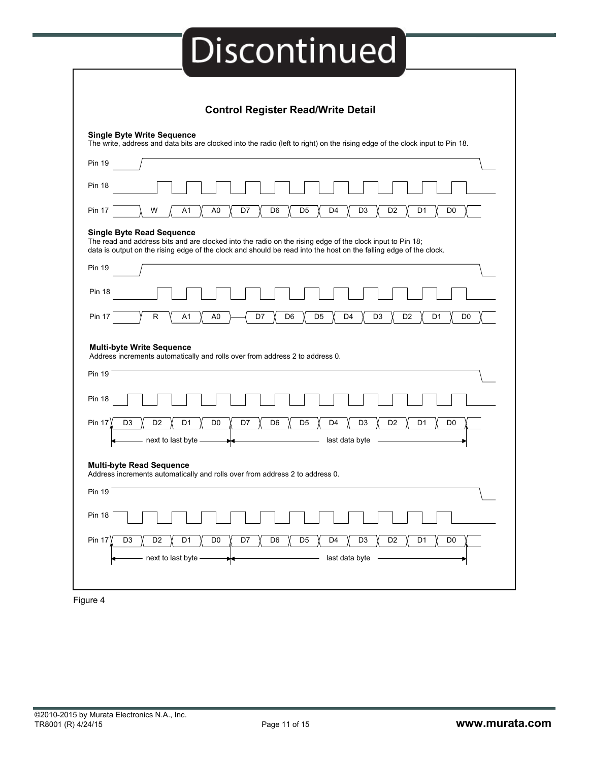|                                                                                       | <b>Single Byte Write Sequence</b><br>The write, address and data bits are clocked into the radio (left to right) on the rising edge of the clock input to Pin 18.                                                                                                  |
|---------------------------------------------------------------------------------------|--------------------------------------------------------------------------------------------------------------------------------------------------------------------------------------------------------------------------------------------------------------------|
|                                                                                       |                                                                                                                                                                                                                                                                    |
| <b>Pin 19</b>                                                                         |                                                                                                                                                                                                                                                                    |
| <b>Pin 18</b>                                                                         |                                                                                                                                                                                                                                                                    |
| <b>Pin 17</b>                                                                         | W<br>A1<br>A <sub>0</sub><br>D7<br>D <sub>6</sub><br>D <sub>5</sub><br>D4<br>D <sub>3</sub><br>D <sub>2</sub><br>D <sub>1</sub><br>D <sub>0</sub>                                                                                                                  |
|                                                                                       | <b>Single Byte Read Sequence</b><br>The read and address bits and are clocked into the radio on the rising edge of the clock input to Pin 18;<br>data is output on the rising edge of the clock and should be read into the host on the falling edge of the clock. |
| <b>Pin 19</b>                                                                         |                                                                                                                                                                                                                                                                    |
| <b>Pin 18</b>                                                                         |                                                                                                                                                                                                                                                                    |
| <b>Pin 17</b>                                                                         | $\mathsf{R}$<br>A1<br>A <sub>0</sub><br>D7<br>D <sub>6</sub><br>D <sub>5</sub><br>D <sub>4</sub><br>D <sub>3</sub><br>D <sub>2</sub><br>D <sub>1</sub><br>D <sub>0</sub>                                                                                           |
|                                                                                       | <b>Multi-byte Write Sequence</b><br>Address increments automatically and rolls over from address 2 to address 0.                                                                                                                                                   |
|                                                                                       |                                                                                                                                                                                                                                                                    |
|                                                                                       |                                                                                                                                                                                                                                                                    |
|                                                                                       |                                                                                                                                                                                                                                                                    |
|                                                                                       | D <sub>1</sub><br>D <sub>3</sub><br>D <sub>2</sub><br>D <sub>0</sub><br>D7<br>D <sub>6</sub><br>D <sub>5</sub><br>D4<br>D <sub>3</sub><br>D <sub>2</sub><br>D1<br>D0<br>next to last byte<br>last data byte                                                        |
|                                                                                       | <b>Multi-byte Read Sequence</b><br>Address increments automatically and rolls over from address 2 to address 0.                                                                                                                                                    |
|                                                                                       |                                                                                                                                                                                                                                                                    |
|                                                                                       |                                                                                                                                                                                                                                                                    |
| <b>Pin 19</b><br><b>Pin 18</b><br><b>Pin 17</b><br>Pin 19<br><b>Pin 18</b><br>Pin 17) | D <sub>2</sub><br>D <sub>0</sub><br>D <sub>6</sub><br>D <sub>5</sub><br>D <sub>2</sub><br>D <sub>1</sub><br>D <sub>0</sub><br>D <sub>3</sub><br>D1<br>D7<br>D4<br>D <sub>3</sub>                                                                                   |

Figure 4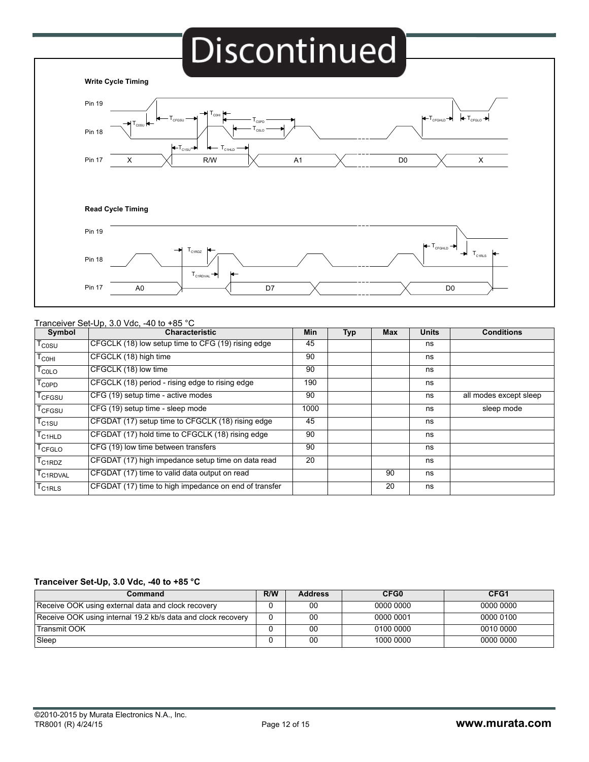# **Discontinued**



#### Tranceiver Set-Up, 3.0 Vdc, -40 to +85 °C

| Symbol                         | <b>Characteristic</b>                                 | Min  | <b>Typ</b> | <b>Max</b> | <b>Units</b> | <b>Conditions</b>      |
|--------------------------------|-------------------------------------------------------|------|------------|------------|--------------|------------------------|
| $T_{COSU}$                     | CFGCLK (18) low setup time to CFG (19) rising edge    | 45   |            |            | ns           |                        |
| $T_{COHI}$                     | CFGCLK (18) high time                                 | 90   |            |            | ns           |                        |
| <b>T<sub>COLO</sub></b>        | CFGCLK (18) low time                                  | 90   |            |            | ns           |                        |
| $T_{\mathsf{COPD}}$            | CFGCLK (18) period - rising edge to rising edge       | 190  |            |            | ns           |                        |
| T <sub>CFGSU</sub>             | CFG (19) setup time - active modes                    | 90   |            |            | ns           | all modes except sleep |
| T <sub>CFGSU</sub>             | CFG (19) setup time - sleep mode                      | 1000 |            |            | ns           | sleep mode             |
| T <sub>C1SU</sub>              | CFGDAT (17) setup time to CFGCLK (18) rising edge     | 45   |            |            | ns           |                        |
| $T_{\rm C1HLD}$                | CFGDAT (17) hold time to CFGCLK (18) rising edge      | 90   |            |            | ns           |                        |
| $^{\mathsf{I}}$ CFGLO          | CFG (19) low time between transfers                   | 90   |            |            | ns           |                        |
| C1RDZ                          | CFGDAT (17) high impedance setup time on data read    | 20   |            |            | ns           |                        |
| T <sub>C1RDVAL</sub>           | CFGDAT (17) time to valid data output on read         |      |            | 90         | ns           |                        |
| <sup>I</sup> C <sub>1RLS</sub> | CFGDAT (17) time to high impedance on end of transfer |      |            | 20         | ns           |                        |

#### **Tranceiver Set-Up, 3.0 Vdc, -40 to +85 °C**

| Command                                                      | R/W | <b>Address</b> | CFG0      | CFG1      |
|--------------------------------------------------------------|-----|----------------|-----------|-----------|
| Receive OOK using external data and clock recovery           |     | 00             | 0000 0000 | 0000 0000 |
| Receive OOK using internal 19.2 kb/s data and clock recovery |     | 00             | 0000 0001 | 0000 0100 |
| l Transmit OOK                                               |     | 00             | 0100 0000 | 0010 0000 |
| Sleep                                                        |     | 00             | 1000 0000 | 0000 0000 |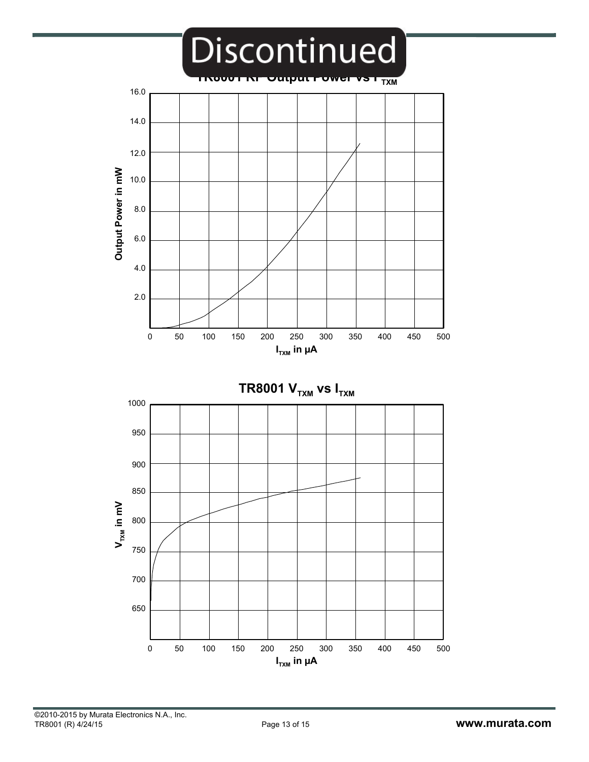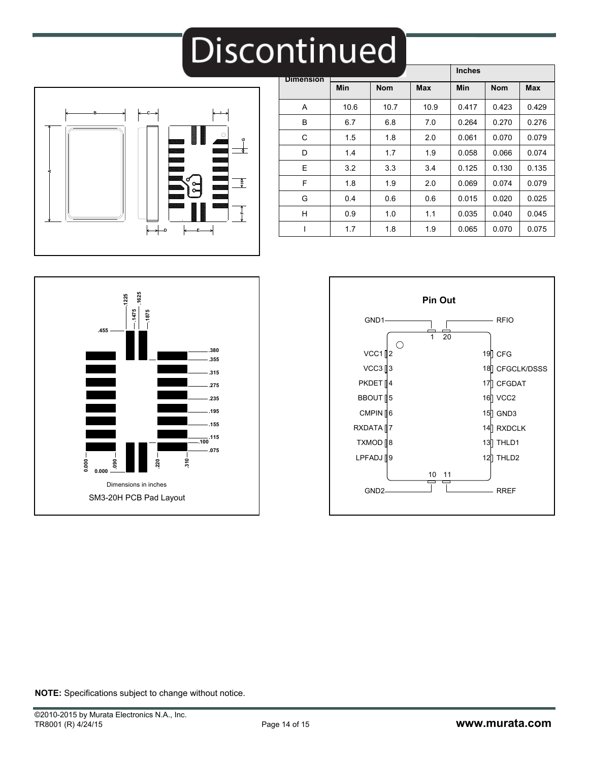# $\overline{\phantom{a}}$



| <b>Dimension</b> |      |            |            | <b>Inches</b> |            |            |
|------------------|------|------------|------------|---------------|------------|------------|
|                  | Min  | <b>Nom</b> | <b>Max</b> | <b>Min</b>    | <b>Nom</b> | <b>Max</b> |
| A                | 10.6 | 10.7       | 10.9       | 0.417         | 0.423      | 0.429      |
| B                | 6.7  | 6.8        | 7.0        | 0.264         | 0.270      | 0.276      |
| C                | 1.5  | 1.8        | 2.0        | 0.061         | 0.070      | 0.079      |
| D                | 1.4  | 1.7        | 1.9        | 0.058         | 0.066      | 0.074      |
| E                | 3.2  | 3.3        | 3.4        | 0.125         | 0.130      | 0.135      |
| F                | 1.8  | 1.9        | 2.0        | 0.069         | 0.074      | 0.079      |
| G                | 0.4  | 0.6        | 0.6        | 0.015         | 0.020      | 0.025      |
| H                | 0.9  | 1.0        | 1.1        | 0.035         | 0.040      | 0.045      |
|                  | 1.7  | 1.8        | 1.9        | 0.065         | 0.070      | 0.075      |





**NOTE:** Specifications subject to change without notice.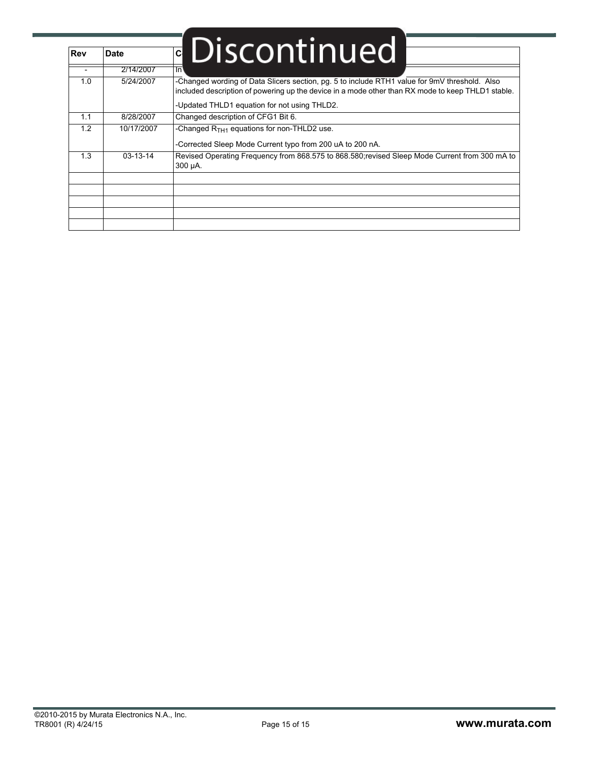| <b>Rev</b> | <b>Date</b>    | <b>• Discontinued</b>                                                                                                                                                                              |
|------------|----------------|----------------------------------------------------------------------------------------------------------------------------------------------------------------------------------------------------|
|            | 2/14/2007      | ٦n١                                                                                                                                                                                                |
| 1.0        | 5/24/2007      | -Changed wording of Data Slicers section, pg. 5 to include RTH1 value for 9mV threshold. Also<br>included description of powering up the device in a mode other than RX mode to keep THLD1 stable. |
|            |                | -Updated THLD1 equation for not using THLD2.                                                                                                                                                       |
| 1.1        | 8/28/2007      | Changed description of CFG1 Bit 6.                                                                                                                                                                 |
| 1.2        | 10/17/2007     | -Changed $RTH1$ equations for non-THLD2 use.<br>-Corrected Sleep Mode Current typo from 200 uA to 200 nA.                                                                                          |
| 1.3        | $03 - 13 - 14$ | Revised Operating Frequency from 868.575 to 868.580;revised Sleep Mode Current from 300 mA to<br>300 µA.                                                                                           |
|            |                |                                                                                                                                                                                                    |
|            |                |                                                                                                                                                                                                    |
|            |                |                                                                                                                                                                                                    |
|            |                |                                                                                                                                                                                                    |
|            |                |                                                                                                                                                                                                    |

í.